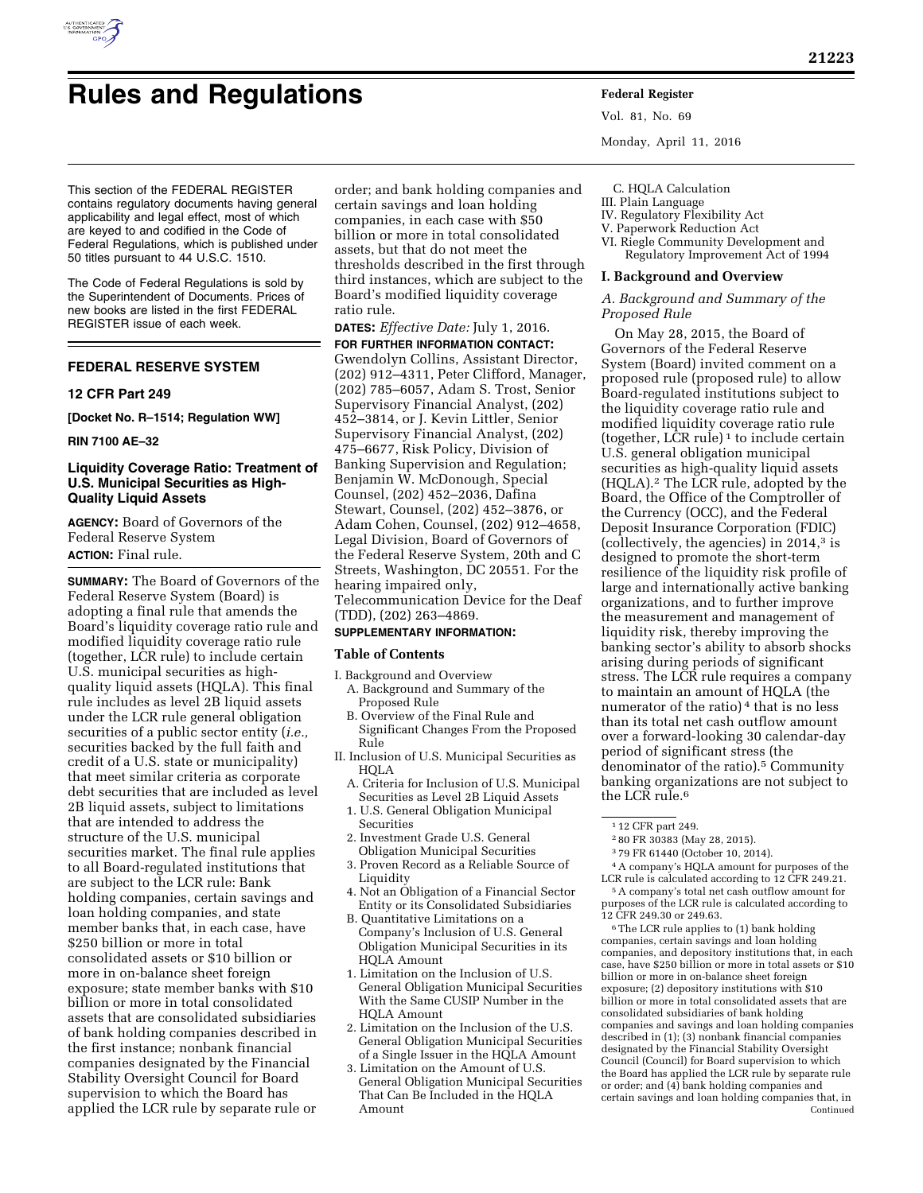

# **Rules and Regulations Federal Register**

Vol. 81, No. 69 Monday, April 11, 2016

This section of the FEDERAL REGISTER contains regulatory documents having general applicability and legal effect, most of which are keyed to and codified in the Code of Federal Regulations, which is published under 50 titles pursuant to 44 U.S.C. 1510.

The Code of Federal Regulations is sold by the Superintendent of Documents. Prices of new books are listed in the first FEDERAL REGISTER issue of each week.

# **FEDERAL RESERVE SYSTEM**

#### **12 CFR Part 249**

**[Docket No. R–1514; Regulation WW]** 

#### **RIN 7100 AE–32**

## **Liquidity Coverage Ratio: Treatment of U.S. Municipal Securities as High-Quality Liquid Assets**

**AGENCY:** Board of Governors of the Federal Reserve System **ACTION:** Final rule.

**SUMMARY:** The Board of Governors of the Federal Reserve System (Board) is adopting a final rule that amends the Board's liquidity coverage ratio rule and modified liquidity coverage ratio rule (together, LCR rule) to include certain U.S. municipal securities as highquality liquid assets (HQLA). This final rule includes as level 2B liquid assets under the LCR rule general obligation securities of a public sector entity (*i.e.,*  securities backed by the full faith and credit of a U.S. state or municipality) that meet similar criteria as corporate debt securities that are included as level 2B liquid assets, subject to limitations that are intended to address the structure of the U.S. municipal securities market. The final rule applies to all Board-regulated institutions that are subject to the LCR rule: Bank holding companies, certain savings and loan holding companies, and state member banks that, in each case, have \$250 billion or more in total consolidated assets or \$10 billion or more in on-balance sheet foreign exposure; state member banks with \$10 billion or more in total consolidated assets that are consolidated subsidiaries of bank holding companies described in the first instance; nonbank financial companies designated by the Financial Stability Oversight Council for Board supervision to which the Board has applied the LCR rule by separate rule or

order; and bank holding companies and certain savings and loan holding companies, in each case with \$50 billion or more in total consolidated assets, but that do not meet the thresholds described in the first through third instances, which are subject to the Board's modified liquidity coverage ratio rule.

**DATES:** *Effective Date:* July 1, 2016. **FOR FURTHER INFORMATION CONTACT:**  Gwendolyn Collins, Assistant Director, (202) 912–4311, Peter Clifford, Manager, (202) 785–6057, Adam S. Trost, Senior Supervisory Financial Analyst, (202) 452–3814, or J. Kevin Littler, Senior Supervisory Financial Analyst, (202) 475–6677, Risk Policy, Division of Banking Supervision and Regulation; Benjamin W. McDonough, Special Counsel, (202) 452–2036, Dafina Stewart, Counsel, (202) 452–3876, or Adam Cohen, Counsel, (202) 912–4658, Legal Division, Board of Governors of the Federal Reserve System, 20th and C Streets, Washington, DC 20551. For the hearing impaired only, Telecommunication Device for the Deaf (TDD), (202) 263–4869.

### **SUPPLEMENTARY INFORMATION:**

#### **Table of Contents**

- I. Background and Overview A. Background and Summary of the
	- Proposed Rule B. Overview of the Final Rule and Significant Changes From the Proposed Rule
- II. Inclusion of U.S. Municipal Securities as HQLA
	- A. Criteria for Inclusion of U.S. Municipal Securities as Level 2B Liquid Assets
	- 1. U.S. General Obligation Municipal Securities
	- 2. Investment Grade U.S. General Obligation Municipal Securities
	- 3. Proven Record as a Reliable Source of Liquidity
	- 4. Not an Obligation of a Financial Sector Entity or its Consolidated Subsidiaries
	- B. Quantitative Limitations on a Company's Inclusion of U.S. General Obligation Municipal Securities in its HQLA Amount
	- 1. Limitation on the Inclusion of U.S. General Obligation Municipal Securities With the Same CUSIP Number in the HQLA Amount
	- 2. Limitation on the Inclusion of the U.S. General Obligation Municipal Securities of a Single Issuer in the HQLA Amount
	- 3. Limitation on the Amount of U.S. General Obligation Municipal Securities That Can Be Included in the HQLA Amount

C. HQLA Calculation

# III. Plain Language

- IV. Regulatory Flexibility Act
- V. Paperwork Reduction Act
- VI. Riegle Community Development and Regulatory Improvement Act of 1994

#### **I. Background and Overview**

## *A. Background and Summary of the Proposed Rule*

On May 28, 2015, the Board of Governors of the Federal Reserve System (Board) invited comment on a proposed rule (proposed rule) to allow Board-regulated institutions subject to the liquidity coverage ratio rule and modified liquidity coverage ratio rule (together, LCR rule) 1 to include certain U.S. general obligation municipal securities as high-quality liquid assets (HQLA).2 The LCR rule, adopted by the Board, the Office of the Comptroller of the Currency (OCC), and the Federal Deposit Insurance Corporation (FDIC) (collectively, the agencies) in 2014,3 is designed to promote the short-term resilience of the liquidity risk profile of large and internationally active banking organizations, and to further improve the measurement and management of liquidity risk, thereby improving the banking sector's ability to absorb shocks arising during periods of significant stress. The LCR rule requires a company to maintain an amount of HQLA (the numerator of the ratio)<sup>4</sup> that is no less than its total net cash outflow amount over a forward-looking 30 calendar-day period of significant stress (the denominator of the ratio).5 Community banking organizations are not subject to the LCR rule.6

4A company's HQLA amount for purposes of the LCR rule is calculated according to 12 CFR 249.21.

5A company's total net cash outflow amount for purposes of the LCR rule is calculated according to 12 CFR 249.30 or 249.63.

6The LCR rule applies to (1) bank holding companies, certain savings and loan holding companies, and depository institutions that, in each case, have \$250 billion or more in total assets or \$10 billion or more in on-balance sheet foreign exposure; (2) depository institutions with \$10 billion or more in total consolidated assets that are consolidated subsidiaries of bank holding companies and savings and loan holding companies described in (1); (3) nonbank financial companies designated by the Financial Stability Oversight Council (Council) for Board supervision to which the Board has applied the LCR rule by separate rule or order; and (4) bank holding companies and certain savings and loan holding companies that, in Continued

<sup>1</sup> 12 CFR part 249.

<sup>2</sup> 80 FR 30383 (May 28, 2015).

<sup>3</sup> 79 FR 61440 (October 10, 2014).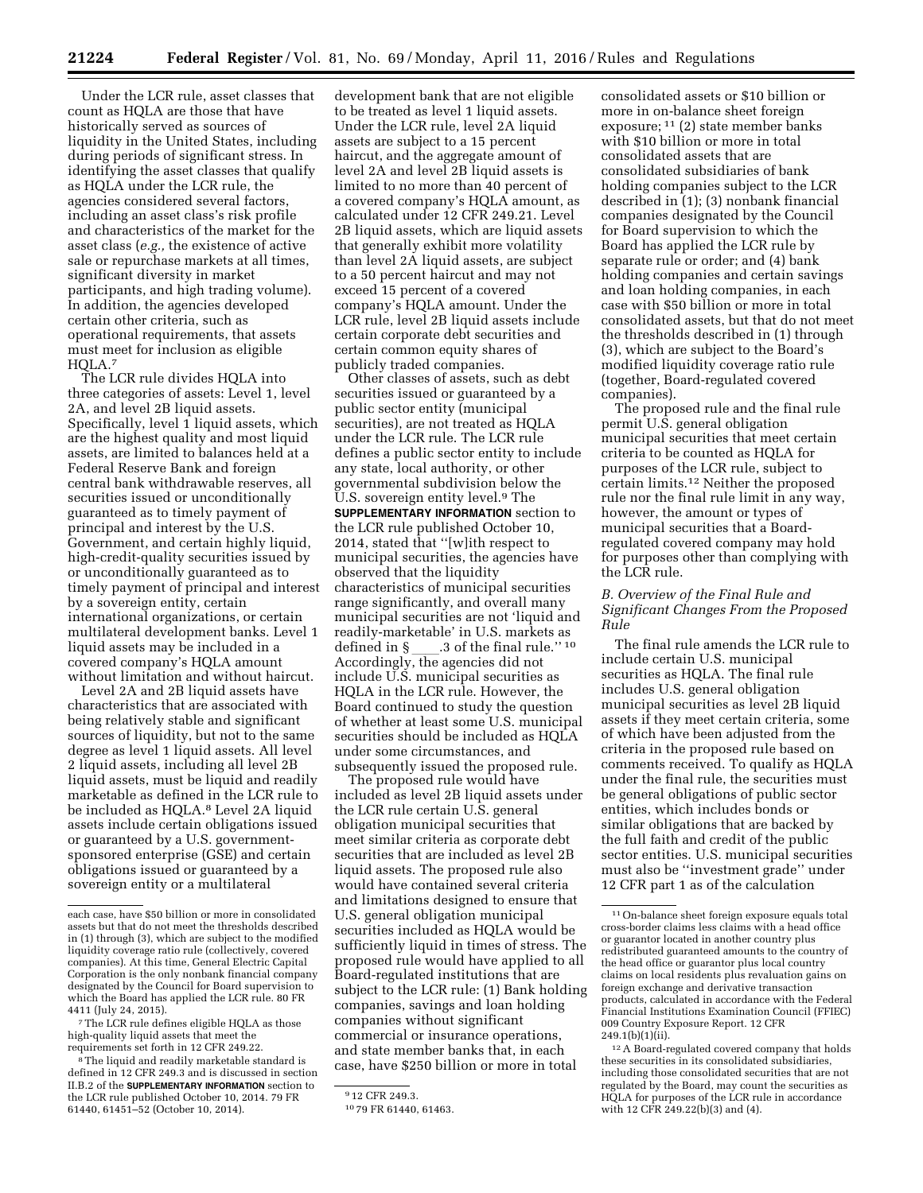Under the LCR rule, asset classes that count as HQLA are those that have historically served as sources of liquidity in the United States, including during periods of significant stress. In identifying the asset classes that qualify as HQLA under the LCR rule, the agencies considered several factors, including an asset class's risk profile and characteristics of the market for the asset class (*e.g.,* the existence of active sale or repurchase markets at all times, significant diversity in market participants, and high trading volume). In addition, the agencies developed certain other criteria, such as operational requirements, that assets must meet for inclusion as eligible HQLA.7

The LCR rule divides HQLA into three categories of assets: Level 1, level 2A, and level 2B liquid assets. Specifically, level 1 liquid assets, which are the highest quality and most liquid assets, are limited to balances held at a Federal Reserve Bank and foreign central bank withdrawable reserves, all securities issued or unconditionally guaranteed as to timely payment of principal and interest by the U.S. Government, and certain highly liquid, high-credit-quality securities issued by or unconditionally guaranteed as to timely payment of principal and interest by a sovereign entity, certain international organizations, or certain multilateral development banks. Level 1 liquid assets may be included in a covered company's HQLA amount without limitation and without haircut.

Level 2A and 2B liquid assets have characteristics that are associated with being relatively stable and significant sources of liquidity, but not to the same degree as level 1 liquid assets. All level 2 liquid assets, including all level 2B liquid assets, must be liquid and readily marketable as defined in the LCR rule to be included as HQLA.<sup>8</sup> Level 2A liquid assets include certain obligations issued or guaranteed by a U.S. governmentsponsored enterprise (GSE) and certain obligations issued or guaranteed by a sovereign entity or a multilateral

development bank that are not eligible to be treated as level 1 liquid assets. Under the LCR rule, level 2A liquid assets are subject to a 15 percent haircut, and the aggregate amount of level 2A and level 2B liquid assets is limited to no more than 40 percent of a covered company's HQLA amount, as calculated under 12 CFR 249.21. Level 2B liquid assets, which are liquid assets that generally exhibit more volatility than level 2A liquid assets, are subject to a 50 percent haircut and may not exceed 15 percent of a covered company's HQLA amount. Under the LCR rule, level 2B liquid assets include certain corporate debt securities and certain common equity shares of publicly traded companies.

Other classes of assets, such as debt securities issued or guaranteed by a public sector entity (municipal securities), are not treated as HQLA under the LCR rule. The LCR rule defines a public sector entity to include any state, local authority, or other governmental subdivision below the U.S. sovereign entity level.9 The **SUPPLEMENTARY INFORMATION** section to the LCR rule published October 10, 2014, stated that ''[w]ith respect to municipal securities, the agencies have observed that the liquidity characteristics of municipal securities range significantly, and overall many municipal securities are not 'liquid and readily-marketable' in U.S. markets as defined in §\_\_\_\_.3 of the final rule.'' <sup>10</sup><br>Accordingly, the agencies did not include U.S. municipal securities as HQLA in the LCR rule. However, the Board continued to study the question of whether at least some U.S. municipal securities should be included as HQLA under some circumstances, and subsequently issued the proposed rule.

The proposed rule would have included as level 2B liquid assets under the LCR rule certain U.S. general obligation municipal securities that meet similar criteria as corporate debt securities that are included as level 2B liquid assets. The proposed rule also would have contained several criteria and limitations designed to ensure that U.S. general obligation municipal securities included as HQLA would be sufficiently liquid in times of stress. The proposed rule would have applied to all Board-regulated institutions that are subject to the LCR rule: (1) Bank holding companies, savings and loan holding companies without significant commercial or insurance operations, and state member banks that, in each case, have \$250 billion or more in total

consolidated assets or \$10 billion or more in on-balance sheet foreign exposure; 11 (2) state member banks with \$10 billion or more in total consolidated assets that are consolidated subsidiaries of bank holding companies subject to the LCR described in (1); (3) nonbank financial companies designated by the Council for Board supervision to which the Board has applied the LCR rule by separate rule or order; and (4) bank holding companies and certain savings and loan holding companies, in each case with \$50 billion or more in total consolidated assets, but that do not meet the thresholds described in (1) through (3), which are subject to the Board's modified liquidity coverage ratio rule (together, Board-regulated covered companies).

The proposed rule and the final rule permit U.S. general obligation municipal securities that meet certain criteria to be counted as HQLA for purposes of the LCR rule, subject to certain limits.12 Neither the proposed rule nor the final rule limit in any way, however, the amount or types of municipal securities that a Boardregulated covered company may hold for purposes other than complying with the LCR rule.

## *B. Overview of the Final Rule and Significant Changes From the Proposed Rule*

The final rule amends the LCR rule to include certain U.S. municipal securities as HQLA. The final rule includes U.S. general obligation municipal securities as level 2B liquid assets if they meet certain criteria, some of which have been adjusted from the criteria in the proposed rule based on comments received. To qualify as HQLA under the final rule, the securities must be general obligations of public sector entities, which includes bonds or similar obligations that are backed by the full faith and credit of the public sector entities. U.S. municipal securities must also be ''investment grade'' under 12 CFR part 1 as of the calculation

each case, have \$50 billion or more in consolidated assets but that do not meet the thresholds described in (1) through (3), which are subject to the modified liquidity coverage ratio rule (collectively, covered companies). At this time, General Electric Capital Corporation is the only nonbank financial company designated by the Council for Board supervision to which the Board has applied the LCR rule. 80 FR 4411 (July 24, 2015).

<sup>7</sup>The LCR rule defines eligible HQLA as those high-quality liquid assets that meet the requirements set forth in 12 CFR 249.22.

<sup>8</sup>The liquid and readily marketable standard is defined in 12 CFR 249.3 and is discussed in section II.B.2 of the **SUPPLEMENTARY INFORMATION** section to the LCR rule published October 10, 2014. 79 FR 61440, 61451–52 (October 10, 2014).

<sup>9</sup> 12 CFR 249.3.

<sup>10</sup> 79 FR 61440, 61463.

<sup>11</sup>On-balance sheet foreign exposure equals total cross-border claims less claims with a head office or guarantor located in another country plus redistributed guaranteed amounts to the country of the head office or guarantor plus local country claims on local residents plus revaluation gains on foreign exchange and derivative transaction products, calculated in accordance with the Federal Financial Institutions Examination Council (FFIEC) 009 Country Exposure Report. 12 CFR 249.1(b)(1)(ii).

<sup>12</sup>A Board-regulated covered company that holds these securities in its consolidated subsidiaries, including those consolidated securities that are not regulated by the Board, may count the securities as HQLA for purposes of the LCR rule in accordance with 12 CFR 249.22(b)(3) and (4).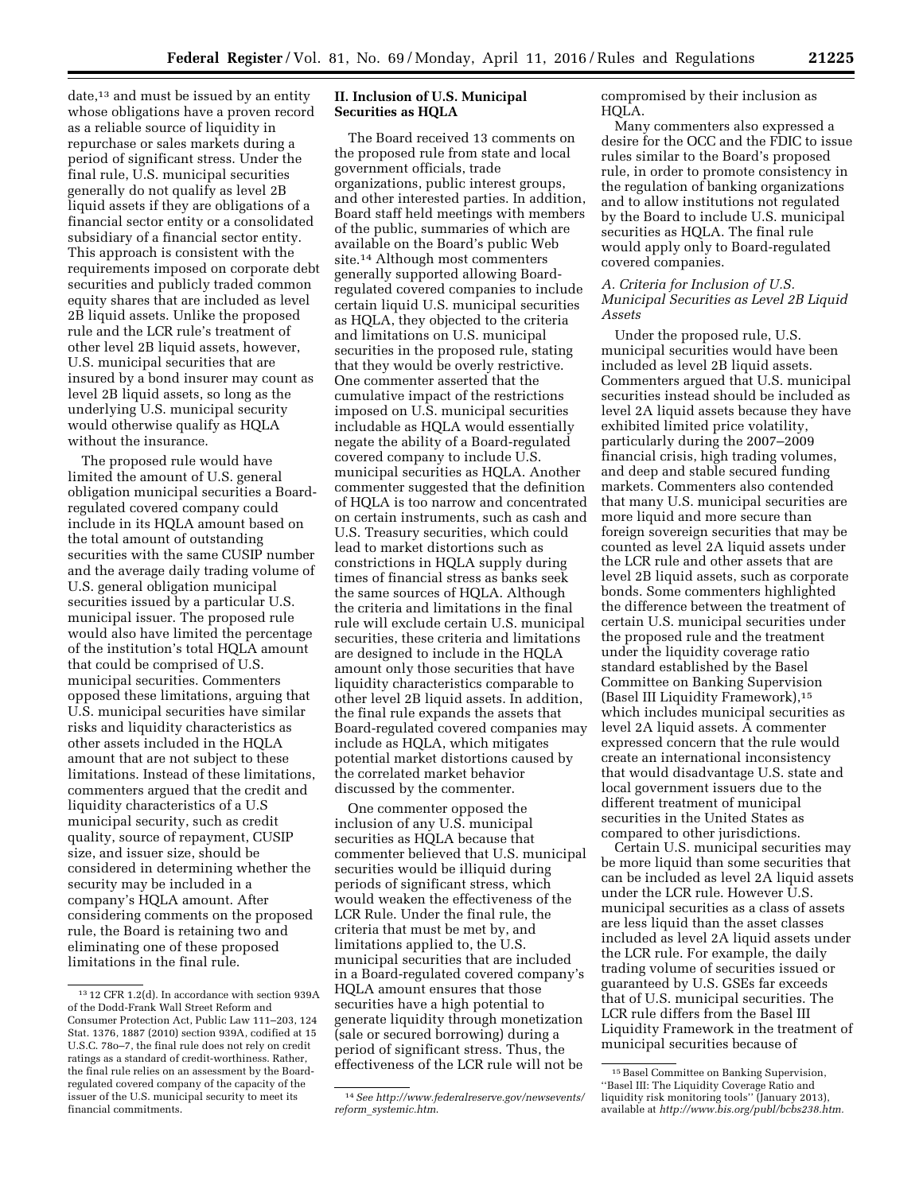date,<sup>13</sup> and must be issued by an entity whose obligations have a proven record as a reliable source of liquidity in repurchase or sales markets during a

period of significant stress. Under the final rule, U.S. municipal securities generally do not qualify as level 2B liquid assets if they are obligations of a financial sector entity or a consolidated subsidiary of a financial sector entity. This approach is consistent with the requirements imposed on corporate debt securities and publicly traded common equity shares that are included as level 2B liquid assets. Unlike the proposed rule and the LCR rule's treatment of other level 2B liquid assets, however, U.S. municipal securities that are insured by a bond insurer may count as level 2B liquid assets, so long as the underlying U.S. municipal security would otherwise qualify as HQLA without the insurance.

The proposed rule would have limited the amount of U.S. general obligation municipal securities a Boardregulated covered company could include in its HQLA amount based on the total amount of outstanding securities with the same CUSIP number and the average daily trading volume of U.S. general obligation municipal securities issued by a particular U.S. municipal issuer. The proposed rule would also have limited the percentage of the institution's total HQLA amount that could be comprised of U.S. municipal securities. Commenters opposed these limitations, arguing that U.S. municipal securities have similar risks and liquidity characteristics as other assets included in the HQLA amount that are not subject to these limitations. Instead of these limitations, commenters argued that the credit and liquidity characteristics of a U.S municipal security, such as credit quality, source of repayment, CUSIP size, and issuer size, should be considered in determining whether the security may be included in a company's HQLA amount. After considering comments on the proposed rule, the Board is retaining two and eliminating one of these proposed limitations in the final rule.

## **II. Inclusion of U.S. Municipal Securities as HQLA**

The Board received 13 comments on the proposed rule from state and local government officials, trade organizations, public interest groups, and other interested parties. In addition, Board staff held meetings with members of the public, summaries of which are available on the Board's public Web site.<sup>14</sup> Although most commenters generally supported allowing Boardregulated covered companies to include certain liquid U.S. municipal securities as HQLA, they objected to the criteria and limitations on U.S. municipal securities in the proposed rule, stating that they would be overly restrictive. One commenter asserted that the cumulative impact of the restrictions imposed on U.S. municipal securities includable as HQLA would essentially negate the ability of a Board-regulated covered company to include U.S. municipal securities as HQLA. Another commenter suggested that the definition of HQLA is too narrow and concentrated on certain instruments, such as cash and U.S. Treasury securities, which could lead to market distortions such as constrictions in HQLA supply during times of financial stress as banks seek the same sources of HQLA. Although the criteria and limitations in the final rule will exclude certain U.S. municipal securities, these criteria and limitations are designed to include in the HQLA amount only those securities that have liquidity characteristics comparable to other level 2B liquid assets. In addition, the final rule expands the assets that Board-regulated covered companies may include as HQLA, which mitigates potential market distortions caused by the correlated market behavior discussed by the commenter.

One commenter opposed the inclusion of any U.S. municipal securities as HQLA because that commenter believed that U.S. municipal securities would be illiquid during periods of significant stress, which would weaken the effectiveness of the LCR Rule. Under the final rule, the criteria that must be met by, and limitations applied to, the U.S. municipal securities that are included in a Board-regulated covered company's HQLA amount ensures that those securities have a high potential to generate liquidity through monetization (sale or secured borrowing) during a period of significant stress. Thus, the effectiveness of the LCR rule will not be

compromised by their inclusion as HQLA.

Many commenters also expressed a desire for the OCC and the FDIC to issue rules similar to the Board's proposed rule, in order to promote consistency in the regulation of banking organizations and to allow institutions not regulated by the Board to include U.S. municipal securities as HQLA. The final rule would apply only to Board-regulated covered companies.

## *A. Criteria for Inclusion of U.S. Municipal Securities as Level 2B Liquid Assets*

Under the proposed rule, U.S. municipal securities would have been included as level 2B liquid assets. Commenters argued that U.S. municipal securities instead should be included as level 2A liquid assets because they have exhibited limited price volatility, particularly during the 2007–2009 financial crisis, high trading volumes, and deep and stable secured funding markets. Commenters also contended that many U.S. municipal securities are more liquid and more secure than foreign sovereign securities that may be counted as level 2A liquid assets under the LCR rule and other assets that are level 2B liquid assets, such as corporate bonds. Some commenters highlighted the difference between the treatment of certain U.S. municipal securities under the proposed rule and the treatment under the liquidity coverage ratio standard established by the Basel Committee on Banking Supervision (Basel III Liquidity Framework),15 which includes municipal securities as level 2A liquid assets. A commenter expressed concern that the rule would create an international inconsistency that would disadvantage U.S. state and local government issuers due to the different treatment of municipal securities in the United States as compared to other jurisdictions.

Certain U.S. municipal securities may be more liquid than some securities that can be included as level 2A liquid assets under the LCR rule. However U.S. municipal securities as a class of assets are less liquid than the asset classes included as level 2A liquid assets under the LCR rule. For example, the daily trading volume of securities issued or guaranteed by U.S. GSEs far exceeds that of U.S. municipal securities. The LCR rule differs from the Basel III Liquidity Framework in the treatment of municipal securities because of

<sup>13</sup> 12 CFR 1.2(d). In accordance with section 939A of the Dodd-Frank Wall Street Reform and Consumer Protection Act, Public Law 111–203, 124 Stat. 1376, 1887 (2010) section 939A, codified at 15 U.S.C. 78o–7, the final rule does not rely on credit ratings as a standard of credit-worthiness. Rather, the final rule relies on an assessment by the Boardregulated covered company of the capacity of the issuer of the U.S. municipal security to meet its financial commitments.

<sup>14</sup>*See [http://www.federalreserve.gov/newsevents/](http://www.federalreserve.gov/newsevents/reform_systemic.htm) reform*\_*[systemic.htm](http://www.federalreserve.gov/newsevents/reform_systemic.htm)*.

<sup>15</sup>Basel Committee on Banking Supervision, ''Basel III: The Liquidity Coverage Ratio and liquidity risk monitoring tools'' (January 2013), available at *[http://www.bis.org/publ/bcbs238.htm.](http://www.bis.org/publ/bcbs238.htm)*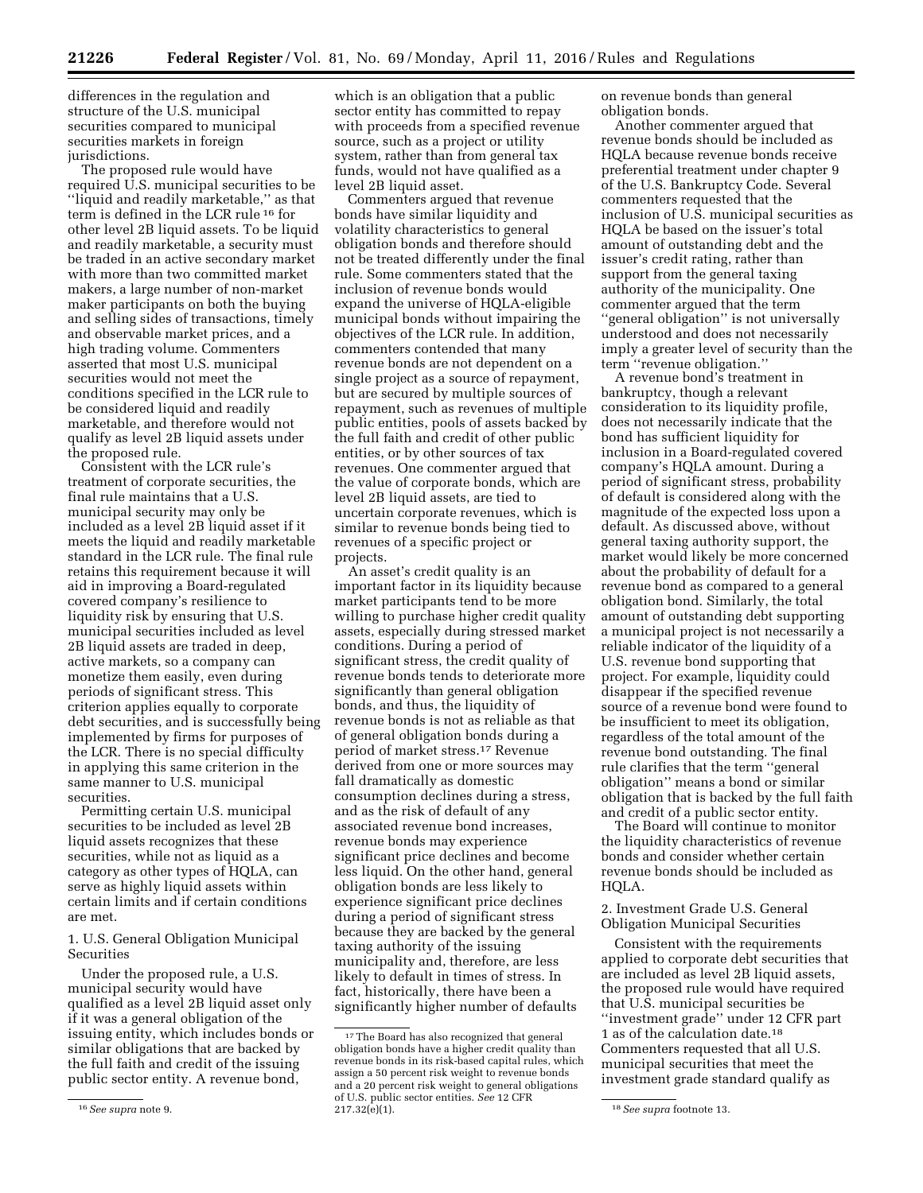differences in the regulation and structure of the U.S. municipal securities compared to municipal securities markets in foreign jurisdictions.

The proposed rule would have required U.S. municipal securities to be ''liquid and readily marketable,'' as that term is defined in the LCR rule 16 for other level 2B liquid assets. To be liquid and readily marketable, a security must be traded in an active secondary market with more than two committed market makers, a large number of non-market maker participants on both the buying and selling sides of transactions, timely and observable market prices, and a high trading volume. Commenters asserted that most U.S. municipal securities would not meet the conditions specified in the LCR rule to be considered liquid and readily marketable, and therefore would not qualify as level 2B liquid assets under the proposed rule.

Consistent with the LCR rule's treatment of corporate securities, the final rule maintains that a U.S. municipal security may only be included as a level 2B liquid asset if it meets the liquid and readily marketable standard in the LCR rule. The final rule retains this requirement because it will aid in improving a Board-regulated covered company's resilience to liquidity risk by ensuring that U.S. municipal securities included as level 2B liquid assets are traded in deep, active markets, so a company can monetize them easily, even during periods of significant stress. This criterion applies equally to corporate debt securities, and is successfully being implemented by firms for purposes of the LCR. There is no special difficulty in applying this same criterion in the same manner to U.S. municipal securities.

Permitting certain U.S. municipal securities to be included as level 2B liquid assets recognizes that these securities, while not as liquid as a category as other types of HQLA, can serve as highly liquid assets within certain limits and if certain conditions are met.

1. U.S. General Obligation Municipal Securities

Under the proposed rule, a U.S. municipal security would have qualified as a level 2B liquid asset only if it was a general obligation of the issuing entity, which includes bonds or similar obligations that are backed by the full faith and credit of the issuing public sector entity. A revenue bond,

which is an obligation that a public sector entity has committed to repay with proceeds from a specified revenue source, such as a project or utility system, rather than from general tax funds, would not have qualified as a level 2B liquid asset.

Commenters argued that revenue bonds have similar liquidity and volatility characteristics to general obligation bonds and therefore should not be treated differently under the final rule. Some commenters stated that the inclusion of revenue bonds would expand the universe of HQLA-eligible municipal bonds without impairing the objectives of the LCR rule. In addition, commenters contended that many revenue bonds are not dependent on a single project as a source of repayment, but are secured by multiple sources of repayment, such as revenues of multiple public entities, pools of assets backed by the full faith and credit of other public entities, or by other sources of tax revenues. One commenter argued that the value of corporate bonds, which are level 2B liquid assets, are tied to uncertain corporate revenues, which is similar to revenue bonds being tied to revenues of a specific project or projects.

An asset's credit quality is an important factor in its liquidity because market participants tend to be more willing to purchase higher credit quality assets, especially during stressed market conditions. During a period of significant stress, the credit quality of revenue bonds tends to deteriorate more significantly than general obligation bonds, and thus, the liquidity of revenue bonds is not as reliable as that of general obligation bonds during a period of market stress.17 Revenue derived from one or more sources may fall dramatically as domestic consumption declines during a stress, and as the risk of default of any associated revenue bond increases, revenue bonds may experience significant price declines and become less liquid. On the other hand, general obligation bonds are less likely to experience significant price declines during a period of significant stress because they are backed by the general taxing authority of the issuing municipality and, therefore, are less likely to default in times of stress. In fact, historically, there have been a significantly higher number of defaults

on revenue bonds than general obligation bonds.

Another commenter argued that revenue bonds should be included as HQLA because revenue bonds receive preferential treatment under chapter 9 of the U.S. Bankruptcy Code. Several commenters requested that the inclusion of U.S. municipal securities as HQLA be based on the issuer's total amount of outstanding debt and the issuer's credit rating, rather than support from the general taxing authority of the municipality. One commenter argued that the term "general obligation" is not universally understood and does not necessarily imply a greater level of security than the term ''revenue obligation.''

A revenue bond's treatment in bankruptcy, though a relevant consideration to its liquidity profile, does not necessarily indicate that the bond has sufficient liquidity for inclusion in a Board-regulated covered company's HQLA amount. During a period of significant stress, probability of default is considered along with the magnitude of the expected loss upon a default. As discussed above, without general taxing authority support, the market would likely be more concerned about the probability of default for a revenue bond as compared to a general obligation bond. Similarly, the total amount of outstanding debt supporting a municipal project is not necessarily a reliable indicator of the liquidity of a U.S. revenue bond supporting that project. For example, liquidity could disappear if the specified revenue source of a revenue bond were found to be insufficient to meet its obligation, regardless of the total amount of the revenue bond outstanding. The final rule clarifies that the term ''general obligation'' means a bond or similar obligation that is backed by the full faith and credit of a public sector entity.

The Board will continue to monitor the liquidity characteristics of revenue bonds and consider whether certain revenue bonds should be included as HQLA.

2. Investment Grade U.S. General Obligation Municipal Securities

Consistent with the requirements applied to corporate debt securities that are included as level 2B liquid assets, the proposed rule would have required that U.S. municipal securities be ''investment grade'' under 12 CFR part 1 as of the calculation date.<sup>18</sup> Commenters requested that all U.S. municipal securities that meet the investment grade standard qualify as

<sup>16</sup>*See supra* note 9.

<sup>17</sup>The Board has also recognized that general obligation bonds have a higher credit quality than revenue bonds in its risk-based capital rules, which assign a 50 percent risk weight to revenue bonds and a 20 percent risk weight to general obligations of U.S. public sector entities. *See* 12 CFR

<sup>217.32(</sup>e)(1). 18*See supra* footnote 13.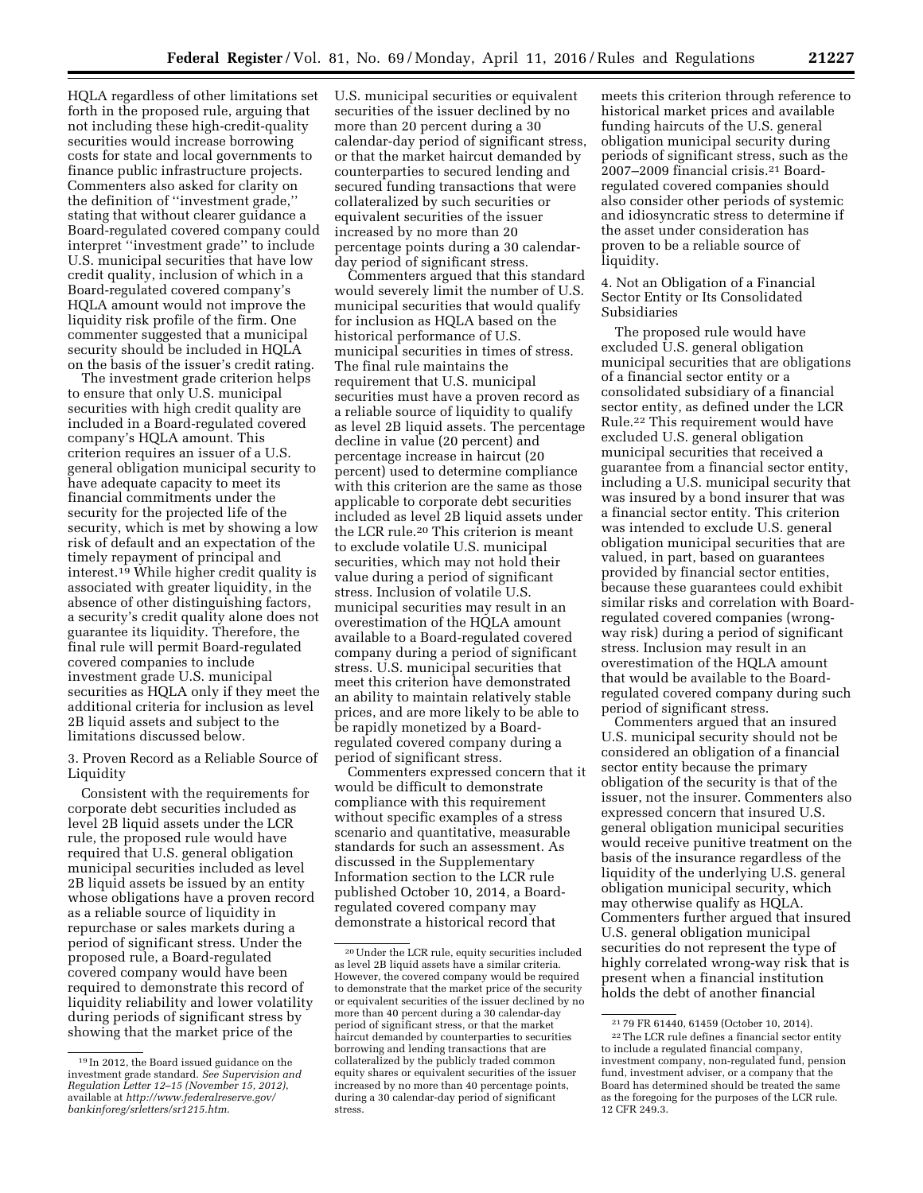HQLA regardless of other limitations set forth in the proposed rule, arguing that not including these high-credit-quality securities would increase borrowing costs for state and local governments to finance public infrastructure projects. Commenters also asked for clarity on the definition of ''investment grade,'' stating that without clearer guidance a Board-regulated covered company could interpret ''investment grade'' to include U.S. municipal securities that have low credit quality, inclusion of which in a Board-regulated covered company's HQLA amount would not improve the liquidity risk profile of the firm. One commenter suggested that a municipal security should be included in HQLA on the basis of the issuer's credit rating.

The investment grade criterion helps to ensure that only U.S. municipal securities with high credit quality are included in a Board-regulated covered company's HQLA amount. This criterion requires an issuer of a U.S. general obligation municipal security to have adequate capacity to meet its financial commitments under the security for the projected life of the security, which is met by showing a low risk of default and an expectation of the timely repayment of principal and interest.19 While higher credit quality is associated with greater liquidity, in the absence of other distinguishing factors, a security's credit quality alone does not guarantee its liquidity. Therefore, the final rule will permit Board-regulated covered companies to include investment grade U.S. municipal securities as HQLA only if they meet the additional criteria for inclusion as level 2B liquid assets and subject to the limitations discussed below.

3. Proven Record as a Reliable Source of Liquidity

Consistent with the requirements for corporate debt securities included as level 2B liquid assets under the LCR rule, the proposed rule would have required that U.S. general obligation municipal securities included as level 2B liquid assets be issued by an entity whose obligations have a proven record as a reliable source of liquidity in repurchase or sales markets during a period of significant stress. Under the proposed rule, a Board-regulated covered company would have been required to demonstrate this record of liquidity reliability and lower volatility during periods of significant stress by showing that the market price of the

U.S. municipal securities or equivalent securities of the issuer declined by no more than 20 percent during a 30 calendar-day period of significant stress, or that the market haircut demanded by counterparties to secured lending and secured funding transactions that were collateralized by such securities or equivalent securities of the issuer increased by no more than 20 percentage points during a 30 calendarday period of significant stress.

Commenters argued that this standard would severely limit the number of U.S. municipal securities that would qualify for inclusion as HQLA based on the historical performance of U.S. municipal securities in times of stress. The final rule maintains the requirement that U.S. municipal securities must have a proven record as a reliable source of liquidity to qualify as level 2B liquid assets. The percentage decline in value (20 percent) and percentage increase in haircut (20 percent) used to determine compliance with this criterion are the same as those applicable to corporate debt securities included as level 2B liquid assets under the LCR rule.20 This criterion is meant to exclude volatile U.S. municipal securities, which may not hold their value during a period of significant stress. Inclusion of volatile U.S. municipal securities may result in an overestimation of the HQLA amount available to a Board-regulated covered company during a period of significant stress. U.S. municipal securities that meet this criterion have demonstrated an ability to maintain relatively stable prices, and are more likely to be able to be rapidly monetized by a Boardregulated covered company during a period of significant stress.

Commenters expressed concern that it would be difficult to demonstrate compliance with this requirement without specific examples of a stress scenario and quantitative, measurable standards for such an assessment. As discussed in the Supplementary Information section to the LCR rule published October 10, 2014, a Boardregulated covered company may demonstrate a historical record that

meets this criterion through reference to historical market prices and available funding haircuts of the U.S. general obligation municipal security during periods of significant stress, such as the 2007–2009 financial crisis.21 Boardregulated covered companies should also consider other periods of systemic and idiosyncratic stress to determine if the asset under consideration has proven to be a reliable source of liquidity.

4. Not an Obligation of a Financial Sector Entity or Its Consolidated Subsidiaries

The proposed rule would have excluded U.S. general obligation municipal securities that are obligations of a financial sector entity or a consolidated subsidiary of a financial sector entity, as defined under the LCR Rule.22 This requirement would have excluded U.S. general obligation municipal securities that received a guarantee from a financial sector entity, including a U.S. municipal security that was insured by a bond insurer that was a financial sector entity. This criterion was intended to exclude U.S. general obligation municipal securities that are valued, in part, based on guarantees provided by financial sector entities, because these guarantees could exhibit similar risks and correlation with Boardregulated covered companies (wrongway risk) during a period of significant stress. Inclusion may result in an overestimation of the HQLA amount that would be available to the Boardregulated covered company during such period of significant stress.

Commenters argued that an insured U.S. municipal security should not be considered an obligation of a financial sector entity because the primary obligation of the security is that of the issuer, not the insurer. Commenters also expressed concern that insured U.S. general obligation municipal securities would receive punitive treatment on the basis of the insurance regardless of the liquidity of the underlying U.S. general obligation municipal security, which may otherwise qualify as HQLA. Commenters further argued that insured U.S. general obligation municipal securities do not represent the type of highly correlated wrong-way risk that is present when a financial institution holds the debt of another financial

<sup>19</sup> In 2012, the Board issued guidance on the investment grade standard. *See Supervision and Regulation Letter 12–15 (November 15, 2012)*, available at *[http://www.federalreserve.gov/](http://www.federalreserve.gov/bankinforeg/srletters/sr1215.htm) [bankinforeg/srletters/sr1215.htm](http://www.federalreserve.gov/bankinforeg/srletters/sr1215.htm)*.

<sup>20</sup>Under the LCR rule, equity securities included as level 2B liquid assets have a similar criteria. However, the covered company would be required to demonstrate that the market price of the security or equivalent securities of the issuer declined by no more than 40 percent during a 30 calendar-day period of significant stress, or that the market haircut demanded by counterparties to securities borrowing and lending transactions that are collateralized by the publicly traded common equity shares or equivalent securities of the issuer increased by no more than 40 percentage points, during a 30 calendar-day period of significant stress.

<sup>21</sup> 79 FR 61440, 61459 (October 10, 2014). 22The LCR rule defines a financial sector entity to include a regulated financial company, investment company, non-regulated fund, pension fund, investment adviser, or a company that the Board has determined should be treated the same as the foregoing for the purposes of the LCR rule. 12 CFR 249.3.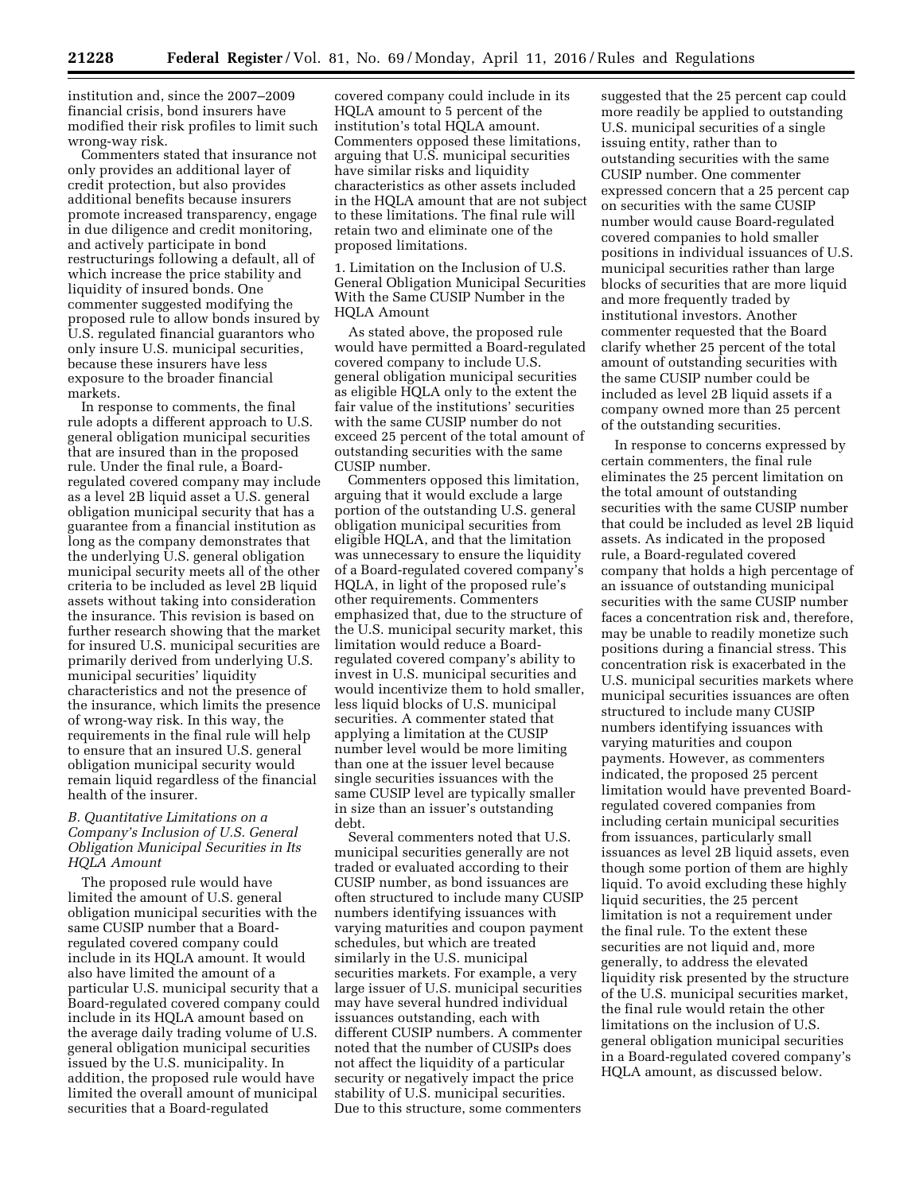institution and, since the 2007–2009 financial crisis, bond insurers have modified their risk profiles to limit such wrong-way risk.

Commenters stated that insurance not only provides an additional layer of credit protection, but also provides additional benefits because insurers promote increased transparency, engage in due diligence and credit monitoring, and actively participate in bond restructurings following a default, all of which increase the price stability and liquidity of insured bonds. One commenter suggested modifying the proposed rule to allow bonds insured by U.S. regulated financial guarantors who only insure U.S. municipal securities, because these insurers have less exposure to the broader financial markets.

In response to comments, the final rule adopts a different approach to U.S. general obligation municipal securities that are insured than in the proposed rule. Under the final rule, a Boardregulated covered company may include as a level 2B liquid asset a U.S. general obligation municipal security that has a guarantee from a financial institution as long as the company demonstrates that the underlying U.S. general obligation municipal security meets all of the other criteria to be included as level 2B liquid assets without taking into consideration the insurance. This revision is based on further research showing that the market for insured U.S. municipal securities are primarily derived from underlying U.S. municipal securities' liquidity characteristics and not the presence of the insurance, which limits the presence of wrong-way risk. In this way, the requirements in the final rule will help to ensure that an insured U.S. general obligation municipal security would remain liquid regardless of the financial health of the insurer.

## *B. Quantitative Limitations on a Company's Inclusion of U.S. General Obligation Municipal Securities in Its HQLA Amount*

The proposed rule would have limited the amount of U.S. general obligation municipal securities with the same CUSIP number that a Boardregulated covered company could include in its HQLA amount. It would also have limited the amount of a particular U.S. municipal security that a Board-regulated covered company could include in its HQLA amount based on the average daily trading volume of U.S. general obligation municipal securities issued by the U.S. municipality. In addition, the proposed rule would have limited the overall amount of municipal securities that a Board-regulated

covered company could include in its HQLA amount to 5 percent of the institution's total HQLA amount. Commenters opposed these limitations, arguing that U.S. municipal securities have similar risks and liquidity characteristics as other assets included in the HQLA amount that are not subject to these limitations. The final rule will retain two and eliminate one of the proposed limitations.

1. Limitation on the Inclusion of U.S. General Obligation Municipal Securities With the Same CUSIP Number in the HQLA Amount

As stated above, the proposed rule would have permitted a Board-regulated covered company to include U.S. general obligation municipal securities as eligible HQLA only to the extent the fair value of the institutions' securities with the same CUSIP number do not exceed 25 percent of the total amount of outstanding securities with the same CUSIP number.

Commenters opposed this limitation, arguing that it would exclude a large portion of the outstanding U.S. general obligation municipal securities from eligible HQLA, and that the limitation was unnecessary to ensure the liquidity of a Board-regulated covered company's HQLA, in light of the proposed rule's other requirements. Commenters emphasized that, due to the structure of the U.S. municipal security market, this limitation would reduce a Boardregulated covered company's ability to invest in U.S. municipal securities and would incentivize them to hold smaller, less liquid blocks of U.S. municipal securities. A commenter stated that applying a limitation at the CUSIP number level would be more limiting than one at the issuer level because single securities issuances with the same CUSIP level are typically smaller in size than an issuer's outstanding debt.

Several commenters noted that U.S. municipal securities generally are not traded or evaluated according to their CUSIP number, as bond issuances are often structured to include many CUSIP numbers identifying issuances with varying maturities and coupon payment schedules, but which are treated similarly in the U.S. municipal securities markets. For example, a very large issuer of U.S. municipal securities may have several hundred individual issuances outstanding, each with different CUSIP numbers. A commenter noted that the number of CUSIPs does not affect the liquidity of a particular security or negatively impact the price stability of U.S. municipal securities. Due to this structure, some commenters

suggested that the 25 percent cap could more readily be applied to outstanding U.S. municipal securities of a single issuing entity, rather than to outstanding securities with the same CUSIP number. One commenter expressed concern that a 25 percent cap on securities with the same CUSIP number would cause Board-regulated covered companies to hold smaller positions in individual issuances of U.S. municipal securities rather than large blocks of securities that are more liquid and more frequently traded by institutional investors. Another commenter requested that the Board clarify whether 25 percent of the total amount of outstanding securities with the same CUSIP number could be included as level 2B liquid assets if a company owned more than 25 percent of the outstanding securities.

In response to concerns expressed by certain commenters, the final rule eliminates the 25 percent limitation on the total amount of outstanding securities with the same CUSIP number that could be included as level 2B liquid assets. As indicated in the proposed rule, a Board-regulated covered company that holds a high percentage of an issuance of outstanding municipal securities with the same CUSIP number faces a concentration risk and, therefore, may be unable to readily monetize such positions during a financial stress. This concentration risk is exacerbated in the U.S. municipal securities markets where municipal securities issuances are often structured to include many CUSIP numbers identifying issuances with varying maturities and coupon payments. However, as commenters indicated, the proposed 25 percent limitation would have prevented Boardregulated covered companies from including certain municipal securities from issuances, particularly small issuances as level 2B liquid assets, even though some portion of them are highly liquid. To avoid excluding these highly liquid securities, the 25 percent limitation is not a requirement under the final rule. To the extent these securities are not liquid and, more generally, to address the elevated liquidity risk presented by the structure of the U.S. municipal securities market, the final rule would retain the other limitations on the inclusion of U.S. general obligation municipal securities in a Board-regulated covered company's HQLA amount, as discussed below.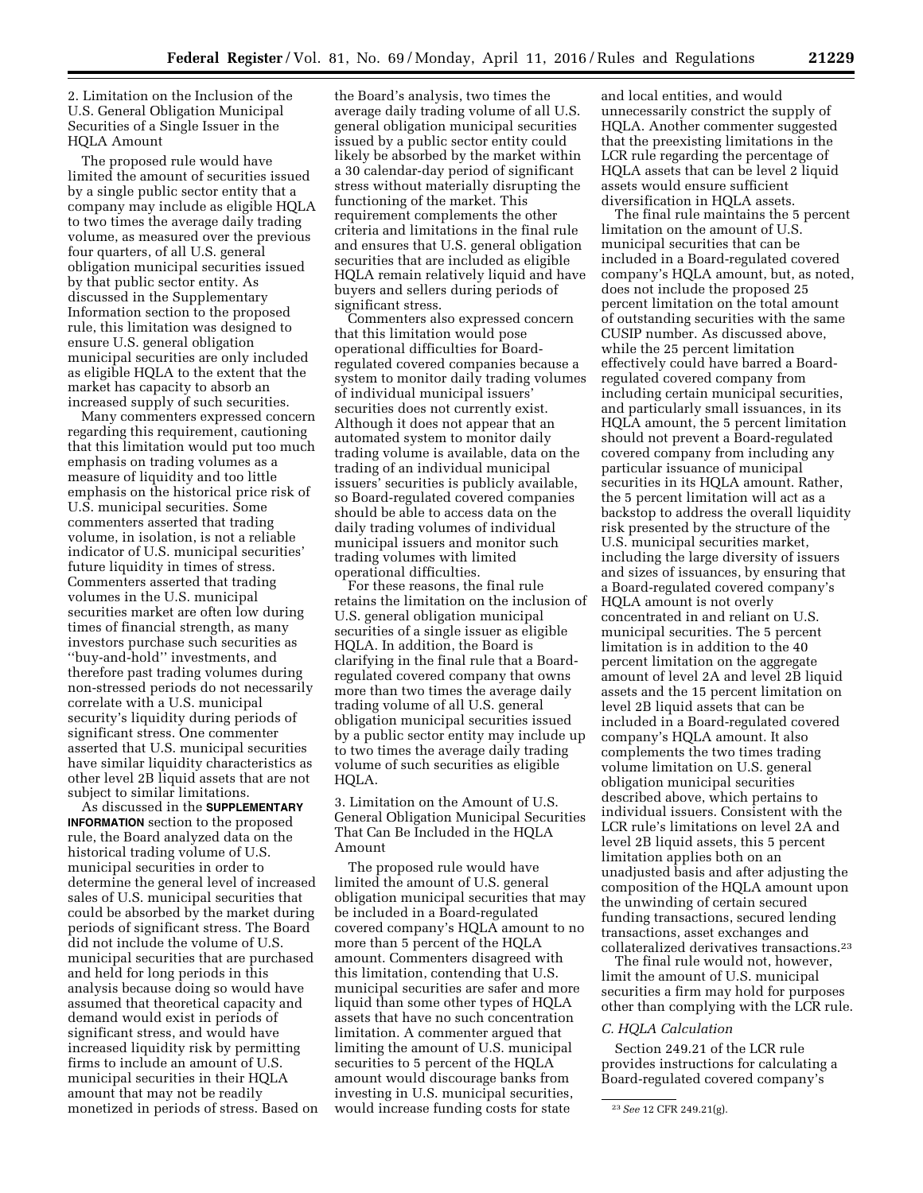2. Limitation on the Inclusion of the U.S. General Obligation Municipal Securities of a Single Issuer in the HQLA Amount

The proposed rule would have limited the amount of securities issued by a single public sector entity that a company may include as eligible HQLA to two times the average daily trading volume, as measured over the previous four quarters, of all U.S. general obligation municipal securities issued by that public sector entity. As discussed in the Supplementary Information section to the proposed rule, this limitation was designed to ensure U.S. general obligation municipal securities are only included as eligible HQLA to the extent that the market has capacity to absorb an increased supply of such securities.

Many commenters expressed concern regarding this requirement, cautioning that this limitation would put too much emphasis on trading volumes as a measure of liquidity and too little emphasis on the historical price risk of U.S. municipal securities. Some commenters asserted that trading volume, in isolation, is not a reliable indicator of U.S. municipal securities' future liquidity in times of stress. Commenters asserted that trading volumes in the U.S. municipal securities market are often low during times of financial strength, as many investors purchase such securities as ''buy-and-hold'' investments, and therefore past trading volumes during non-stressed periods do not necessarily correlate with a U.S. municipal security's liquidity during periods of significant stress. One commenter asserted that U.S. municipal securities have similar liquidity characteristics as other level 2B liquid assets that are not subject to similar limitations.

As discussed in the **SUPPLEMENTARY INFORMATION** section to the proposed rule, the Board analyzed data on the historical trading volume of U.S. municipal securities in order to determine the general level of increased sales of U.S. municipal securities that could be absorbed by the market during periods of significant stress. The Board did not include the volume of U.S. municipal securities that are purchased and held for long periods in this analysis because doing so would have assumed that theoretical capacity and demand would exist in periods of significant stress, and would have increased liquidity risk by permitting firms to include an amount of U.S. municipal securities in their HQLA amount that may not be readily monetized in periods of stress. Based on

the Board's analysis, two times the average daily trading volume of all U.S. general obligation municipal securities issued by a public sector entity could likely be absorbed by the market within a 30 calendar-day period of significant stress without materially disrupting the functioning of the market. This requirement complements the other criteria and limitations in the final rule and ensures that U.S. general obligation securities that are included as eligible HQLA remain relatively liquid and have buyers and sellers during periods of significant stress.

Commenters also expressed concern that this limitation would pose operational difficulties for Boardregulated covered companies because a system to monitor daily trading volumes of individual municipal issuers' securities does not currently exist. Although it does not appear that an automated system to monitor daily trading volume is available, data on the trading of an individual municipal issuers' securities is publicly available, so Board-regulated covered companies should be able to access data on the daily trading volumes of individual municipal issuers and monitor such trading volumes with limited operational difficulties.

For these reasons, the final rule retains the limitation on the inclusion of U.S. general obligation municipal securities of a single issuer as eligible HQLA. In addition, the Board is clarifying in the final rule that a Boardregulated covered company that owns more than two times the average daily trading volume of all U.S. general obligation municipal securities issued by a public sector entity may include up to two times the average daily trading volume of such securities as eligible HQLA.

3. Limitation on the Amount of U.S. General Obligation Municipal Securities That Can Be Included in the HQLA Amount

The proposed rule would have limited the amount of U.S. general obligation municipal securities that may be included in a Board-regulated covered company's HQLA amount to no more than 5 percent of the HQLA amount. Commenters disagreed with this limitation, contending that U.S. municipal securities are safer and more liquid than some other types of HQLA assets that have no such concentration limitation. A commenter argued that limiting the amount of U.S. municipal securities to 5 percent of the HQLA amount would discourage banks from investing in U.S. municipal securities, would increase funding costs for state

and local entities, and would unnecessarily constrict the supply of HQLA. Another commenter suggested that the preexisting limitations in the LCR rule regarding the percentage of HQLA assets that can be level 2 liquid assets would ensure sufficient diversification in HQLA assets.

The final rule maintains the 5 percent limitation on the amount of U.S. municipal securities that can be included in a Board-regulated covered company's HQLA amount, but, as noted, does not include the proposed 25 percent limitation on the total amount of outstanding securities with the same CUSIP number. As discussed above, while the 25 percent limitation effectively could have barred a Boardregulated covered company from including certain municipal securities, and particularly small issuances, in its HQLA amount, the 5 percent limitation should not prevent a Board-regulated covered company from including any particular issuance of municipal securities in its HQLA amount. Rather, the 5 percent limitation will act as a backstop to address the overall liquidity risk presented by the structure of the U.S. municipal securities market, including the large diversity of issuers and sizes of issuances, by ensuring that a Board-regulated covered company's HQLA amount is not overly concentrated in and reliant on U.S. municipal securities. The 5 percent limitation is in addition to the 40 percent limitation on the aggregate amount of level 2A and level 2B liquid assets and the 15 percent limitation on level 2B liquid assets that can be included in a Board-regulated covered company's HQLA amount. It also complements the two times trading volume limitation on U.S. general obligation municipal securities described above, which pertains to individual issuers. Consistent with the LCR rule's limitations on level 2A and level 2B liquid assets, this 5 percent limitation applies both on an unadjusted basis and after adjusting the composition of the HQLA amount upon the unwinding of certain secured funding transactions, secured lending transactions, asset exchanges and collateralized derivatives transactions.23

The final rule would not, however, limit the amount of U.S. municipal securities a firm may hold for purposes other than complying with the LCR rule.

## *C. HQLA Calculation*

Section 249.21 of the LCR rule provides instructions for calculating a Board-regulated covered company's

<sup>23</sup>*See* 12 CFR 249.21(g).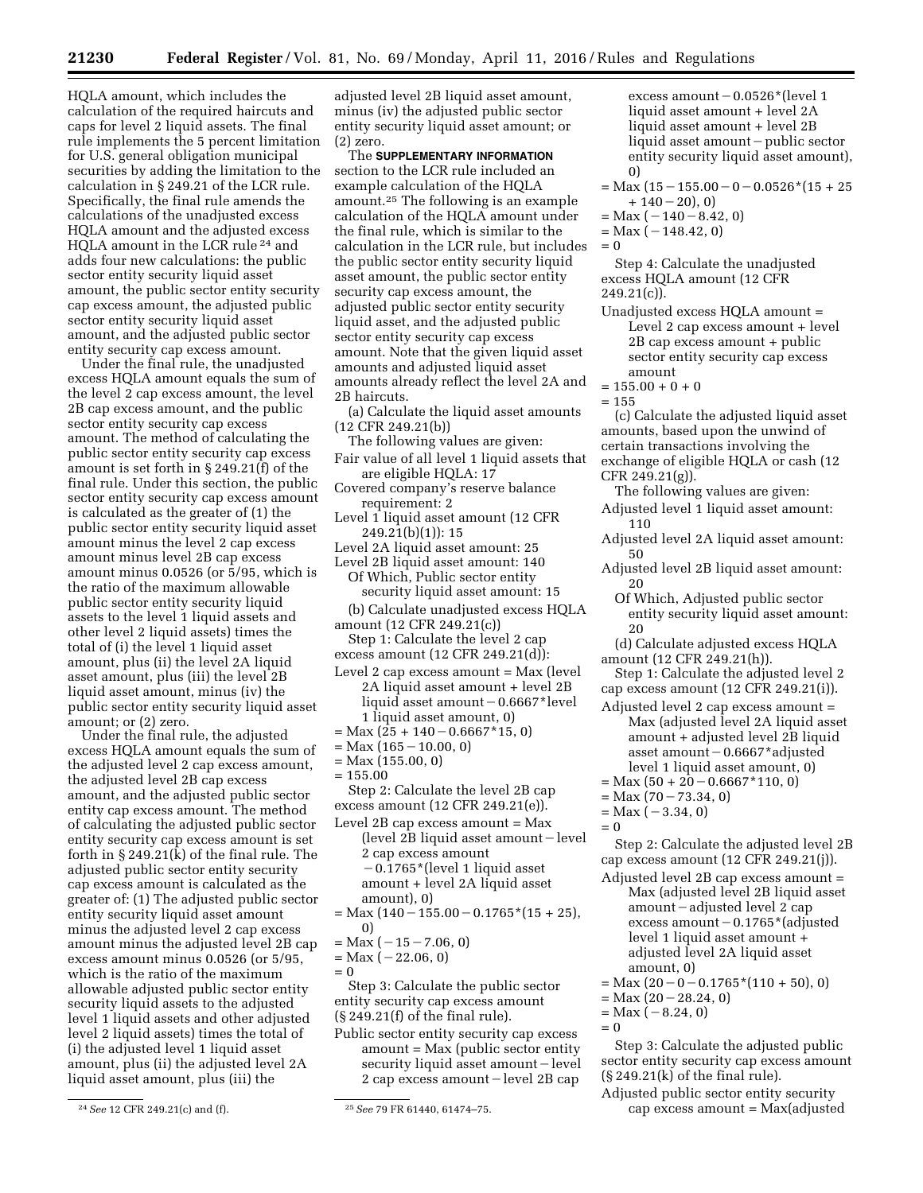HQLA amount, which includes the calculation of the required haircuts and caps for level 2 liquid assets. The final rule implements the 5 percent limitation for U.S. general obligation municipal securities by adding the limitation to the calculation in § 249.21 of the LCR rule. Specifically, the final rule amends the calculations of the unadjusted excess HQLA amount and the adjusted excess HQLA amount in the LCR rule 24 and adds four new calculations: the public sector entity security liquid asset amount, the public sector entity security cap excess amount, the adjusted public sector entity security liquid asset amount, and the adjusted public sector entity security cap excess amount.

Under the final rule, the unadjusted excess HQLA amount equals the sum of the level 2 cap excess amount, the level 2B cap excess amount, and the public sector entity security cap excess amount. The method of calculating the public sector entity security cap excess amount is set forth in § 249.21(f) of the final rule. Under this section, the public sector entity security cap excess amount is calculated as the greater of (1) the public sector entity security liquid asset amount minus the level 2 cap excess amount minus level 2B cap excess amount minus 0.0526 (or 5/95, which is the ratio of the maximum allowable public sector entity security liquid assets to the level 1 liquid assets and other level 2 liquid assets) times the total of (i) the level 1 liquid asset amount, plus (ii) the level 2A liquid asset amount, plus (iii) the level 2B liquid asset amount, minus (iv) the public sector entity security liquid asset amount; or (2) zero.

Under the final rule, the adjusted excess HQLA amount equals the sum of the adjusted level 2 cap excess amount, the adjusted level 2B cap excess amount, and the adjusted public sector entity cap excess amount. The method of calculating the adjusted public sector entity security cap excess amount is set forth in  $\S 249.21(\bar{k})$  of the final rule. The adjusted public sector entity security cap excess amount is calculated as the greater of: (1) The adjusted public sector entity security liquid asset amount minus the adjusted level 2 cap excess amount minus the adjusted level 2B cap excess amount minus 0.0526 (or 5/95, which is the ratio of the maximum allowable adjusted public sector entity security liquid assets to the adjusted level 1 liquid assets and other adjusted level 2 liquid assets) times the total of (i) the adjusted level 1 liquid asset amount, plus (ii) the adjusted level 2A liquid asset amount, plus (iii) the

adjusted level 2B liquid asset amount, minus (iv) the adjusted public sector entity security liquid asset amount; or (2) zero.

The **SUPPLEMENTARY INFORMATION** section to the LCR rule included an example calculation of the HQLA amount.25 The following is an example calculation of the HQLA amount under the final rule, which is similar to the calculation in the LCR rule, but includes the public sector entity security liquid asset amount, the public sector entity security cap excess amount, the adjusted public sector entity security liquid asset, and the adjusted public sector entity security cap excess amount. Note that the given liquid asset amounts and adjusted liquid asset amounts already reflect the level 2A and 2B haircuts.

(a) Calculate the liquid asset amounts (12 CFR 249.21(b))

- The following values are given:
- Fair value of all level 1 liquid assets that are eligible HQLA: 17
- Covered company's reserve balance requirement: 2
- Level 1 liquid asset amount (12 CFR 249.21(b)(1)): 15
- Level 2A liquid asset amount: 25
- Level 2B liquid asset amount: 140 Of Which, Public sector entity security liquid asset amount: 15
- (b) Calculate unadjusted excess HQLA amount (12 CFR 249.21(c))
- Step 1: Calculate the level 2 cap
- excess amount (12 CFR 249.21(d)):
- Level 2 cap excess amount = Max (level 2A liquid asset amount + level 2B liquid asset amount - 0.6667\*level 1 liquid asset amount, 0)
- $=$  Max (25 + 140 0.6667\*15, 0)
- $= Max (165 10.00, 0)$
- = Max (155.00, 0)  $= 155.00$
- Step 2: Calculate the level 2B cap
- excess amount (12 CFR 249.21(e)). Level 2B cap excess amount = Max  $(level 2B liquid asset amount - level)$ 
	- 2 cap excess amount  $-0.1765$ \*(level 1 liquid asset amount + level 2A liquid asset amount), 0)
- $=$  Max (140  $-$  155.00  $-$  0.1765\*(15 + 25), 0)
- $=$  Max  $(-15 7.06, 0)$
- $= Max (-22.06, 0)$  $= 0$

Step 3: Calculate the public sector entity security cap excess amount (§ 249.21(f) of the final rule).

Public sector entity security cap excess amount = Max (public sector entity security liquid asset amount – level 2 cap excess amount - level 2B cap excess amount  $-0.0526$ \*(level 1 liquid asset amount + level 2A liquid asset amount + level 2B liquid asset amount - public sector entity security liquid asset amount), 0)

- $=$  Max (15  $-$  155.00  $-$  0  $-$  0.0526\*(15  $+$  25  $+ 140 - 20$ , 0)
- $= Max (-140 8.42, 0)$
- $=$  Max  $(-148.42, 0)$

 $= 0$ 

Step 4: Calculate the unadjusted excess HQLA amount (12 CFR  $249.21(c)$ ).

- Unadjusted excess HQLA amount = Level 2 cap excess amount + level 2B cap excess amount + public sector entity security cap excess amount
- $= 155.00 + 0 + 0$
- $= 155$

(c) Calculate the adjusted liquid asset amounts, based upon the unwind of certain transactions involving the exchange of eligible HQLA or cash (12 CFR 249.21(g)).

The following values are given: Adjusted level 1 liquid asset amount: 110

- Adjusted level 2A liquid asset amount: 50
- Adjusted level 2B liquid asset amount: 20
	- Of Which, Adjusted public sector entity security liquid asset amount: 20
- (d) Calculate adjusted excess HQLA amount (12 CFR 249.21(h)).

Step 1: Calculate the adjusted level 2 cap excess amount (12 CFR 249.21(i)).

- Adjusted level 2 cap excess amount = Max (adjusted level 2A liquid asset amount + adjusted level 2B liquid asset amount  $-0.6667*$  adjusted level 1 liquid asset amount, 0)
- $= Max (50 + 20 0.6667*110, 0)$
- $= Max (70 73.34, 0)$
- $=$  Max  $(-3.34, 0)$
- $= 0$

Step 2: Calculate the adjusted level 2B cap excess amount (12 CFR 249.21(j)).

- Adjusted level 2B cap excess amount = Max (adjusted level 2B liquid asset  $amount - adjusted level 2 cap$ excess amount  $-0.1765$ <sup>\*</sup>(adjusted level 1 liquid asset amount + adjusted level 2A liquid asset amount, 0)
- $=$  Max  $(20 0 0.1765*(110 + 50), 0)$
- $= Max (20 28.24, 0)$
- $= Max (-8.24, 0)$
- $= 0$

Step 3: Calculate the adjusted public sector entity security cap excess amount  $(\S 249.21(k)$  of the final rule).

Adjusted public sector entity security cap excess amount = Max(adjusted

<sup>24</sup>*See* 12 CFR 249.21(c) and (f). 25*See* 79 FR 61440, 61474–75.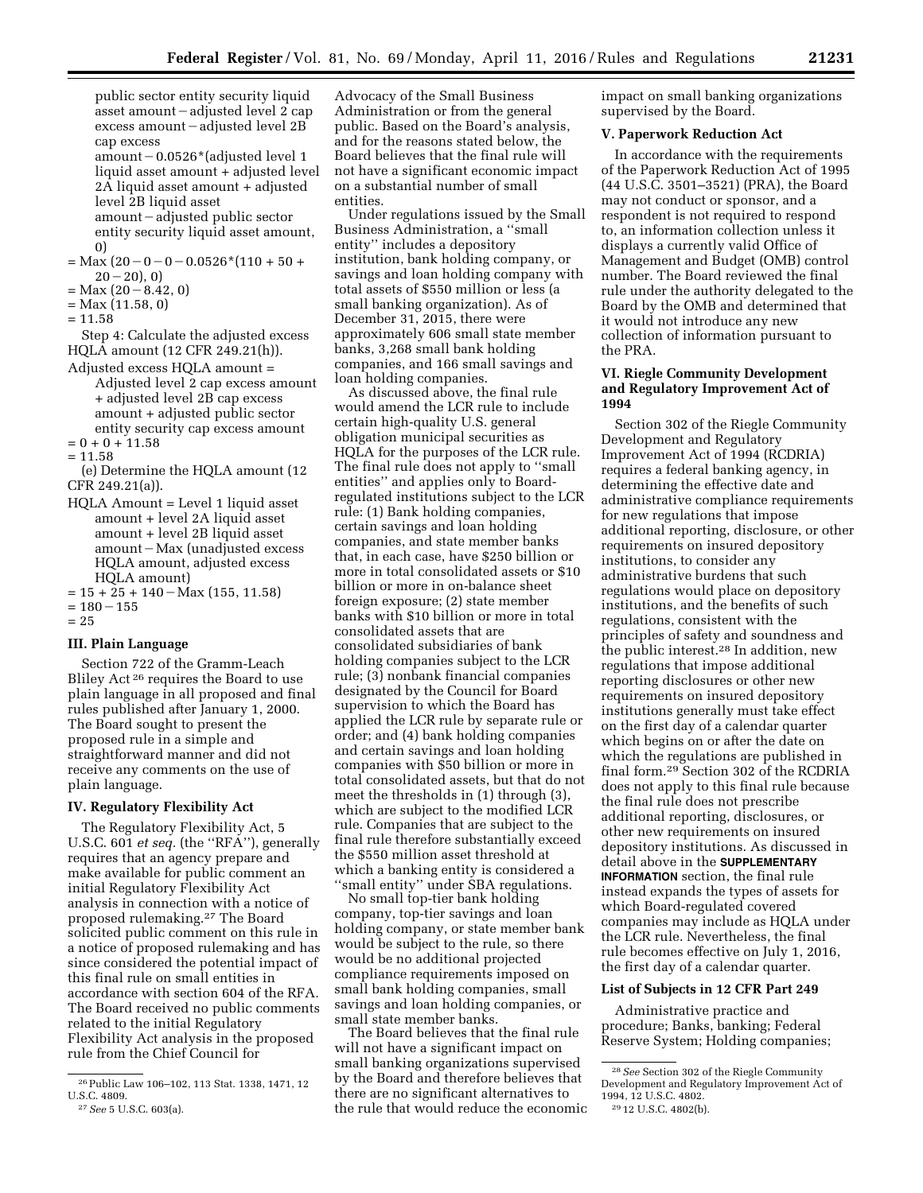public sector entity security liquid asset amount  $-\text{adjusted level } 2 \text{ cap}$  $excess$  amount  $-$  adjusted level 2B cap excess

amount  $-0.0526*$  (adjusted level 1 liquid asset amount + adjusted level 2A liquid asset amount + adjusted level 2B liquid asset  $amount - adjusted public sector$ entity security liquid asset amount,

- $=$  Max  $(20 0 0 0.0526*(110 + 50 +$  $20 - 20$ ), 0)
- $= Max (20 8.42, 0)$
- = Max (11.58, 0)
- $= 11.58$

0)

Step 4: Calculate the adjusted excess HQLA amount (12 CFR 249.21(h)).

Adjusted excess HQLA amount = Adjusted level 2 cap excess amount + adjusted level 2B cap excess amount + adjusted public sector entity security cap excess amount  $= 0 + 0 + 11.58$ 

 $= 11.58$ 

(e) Determine the HQLA amount (12 CFR 249.21(a)).

- HQLA Amount = Level 1 liquid asset amount + level 2A liquid asset amount + level 2B liquid asset amount - Max (unadjusted excess HQLA amount, adjusted excess HQLA amount)
- $= 15 + 25 + 140 \text{Max} (155, 11.58)$  $= 180 - 155$

 $= 25$ 

#### **III. Plain Language**

Section 722 of the Gramm-Leach Bliley Act 26 requires the Board to use plain language in all proposed and final rules published after January 1, 2000. The Board sought to present the proposed rule in a simple and straightforward manner and did not receive any comments on the use of plain language.

#### **IV. Regulatory Flexibility Act**

The Regulatory Flexibility Act, 5 U.S.C. 601 *et seq.* (the ''RFA''), generally requires that an agency prepare and make available for public comment an initial Regulatory Flexibility Act analysis in connection with a notice of proposed rulemaking.27 The Board solicited public comment on this rule in a notice of proposed rulemaking and has since considered the potential impact of this final rule on small entities in accordance with section 604 of the RFA. The Board received no public comments related to the initial Regulatory Flexibility Act analysis in the proposed rule from the Chief Council for

Advocacy of the Small Business Administration or from the general public. Based on the Board's analysis, and for the reasons stated below, the Board believes that the final rule will not have a significant economic impact on a substantial number of small entities.

Under regulations issued by the Small Business Administration, a ''small entity'' includes a depository institution, bank holding company, or savings and loan holding company with total assets of \$550 million or less (a small banking organization). As of December 31, 2015, there were approximately 606 small state member banks, 3,268 small bank holding companies, and 166 small savings and loan holding companies.

As discussed above, the final rule would amend the LCR rule to include certain high-quality U.S. general obligation municipal securities as HQLA for the purposes of the LCR rule. The final rule does not apply to ''small entities'' and applies only to Boardregulated institutions subject to the LCR rule: (1) Bank holding companies, certain savings and loan holding companies, and state member banks that, in each case, have \$250 billion or more in total consolidated assets or \$10 billion or more in on-balance sheet foreign exposure; (2) state member banks with \$10 billion or more in total consolidated assets that are consolidated subsidiaries of bank holding companies subject to the LCR rule; (3) nonbank financial companies designated by the Council for Board supervision to which the Board has applied the LCR rule by separate rule or order; and (4) bank holding companies and certain savings and loan holding companies with \$50 billion or more in total consolidated assets, but that do not meet the thresholds in (1) through (3), which are subject to the modified LCR rule. Companies that are subject to the final rule therefore substantially exceed the \$550 million asset threshold at which a banking entity is considered a ''small entity'' under SBA regulations.

No small top-tier bank holding company, top-tier savings and loan holding company, or state member bank would be subject to the rule, so there would be no additional projected compliance requirements imposed on small bank holding companies, small savings and loan holding companies, or small state member banks.

The Board believes that the final rule will not have a significant impact on small banking organizations supervised by the Board and therefore believes that there are no significant alternatives to the rule that would reduce the economic impact on small banking organizations supervised by the Board.

## **V. Paperwork Reduction Act**

In accordance with the requirements of the Paperwork Reduction Act of 1995 (44 U.S.C. 3501–3521) (PRA), the Board may not conduct or sponsor, and a respondent is not required to respond to, an information collection unless it displays a currently valid Office of Management and Budget (OMB) control number. The Board reviewed the final rule under the authority delegated to the Board by the OMB and determined that it would not introduce any new collection of information pursuant to the PRA.

### **VI. Riegle Community Development and Regulatory Improvement Act of 1994**

Section 302 of the Riegle Community Development and Regulatory Improvement Act of 1994 (RCDRIA) requires a federal banking agency, in determining the effective date and administrative compliance requirements for new regulations that impose additional reporting, disclosure, or other requirements on insured depository institutions, to consider any administrative burdens that such regulations would place on depository institutions, and the benefits of such regulations, consistent with the principles of safety and soundness and the public interest.28 In addition, new regulations that impose additional reporting disclosures or other new requirements on insured depository institutions generally must take effect on the first day of a calendar quarter which begins on or after the date on which the regulations are published in final form.29 Section 302 of the RCDRIA does not apply to this final rule because the final rule does not prescribe additional reporting, disclosures, or other new requirements on insured depository institutions. As discussed in detail above in the **SUPPLEMENTARY INFORMATION** section, the final rule instead expands the types of assets for which Board-regulated covered companies may include as HQLA under the LCR rule. Nevertheless, the final rule becomes effective on July 1, 2016, the first day of a calendar quarter.

## **List of Subjects in 12 CFR Part 249**

Administrative practice and procedure; Banks, banking; Federal Reserve System; Holding companies;

<sup>26</sup>Public Law 106–102, 113 Stat. 1338, 1471, 12 U.S.C. 4809.

<sup>27</sup>*See* 5 U.S.C. 603(a).

<sup>28</sup>*See* Section 302 of the Riegle Community Development and Regulatory Improvement Act of 1994, 12 U.S.C. 4802.

<sup>29</sup> 12 U.S.C. 4802(b).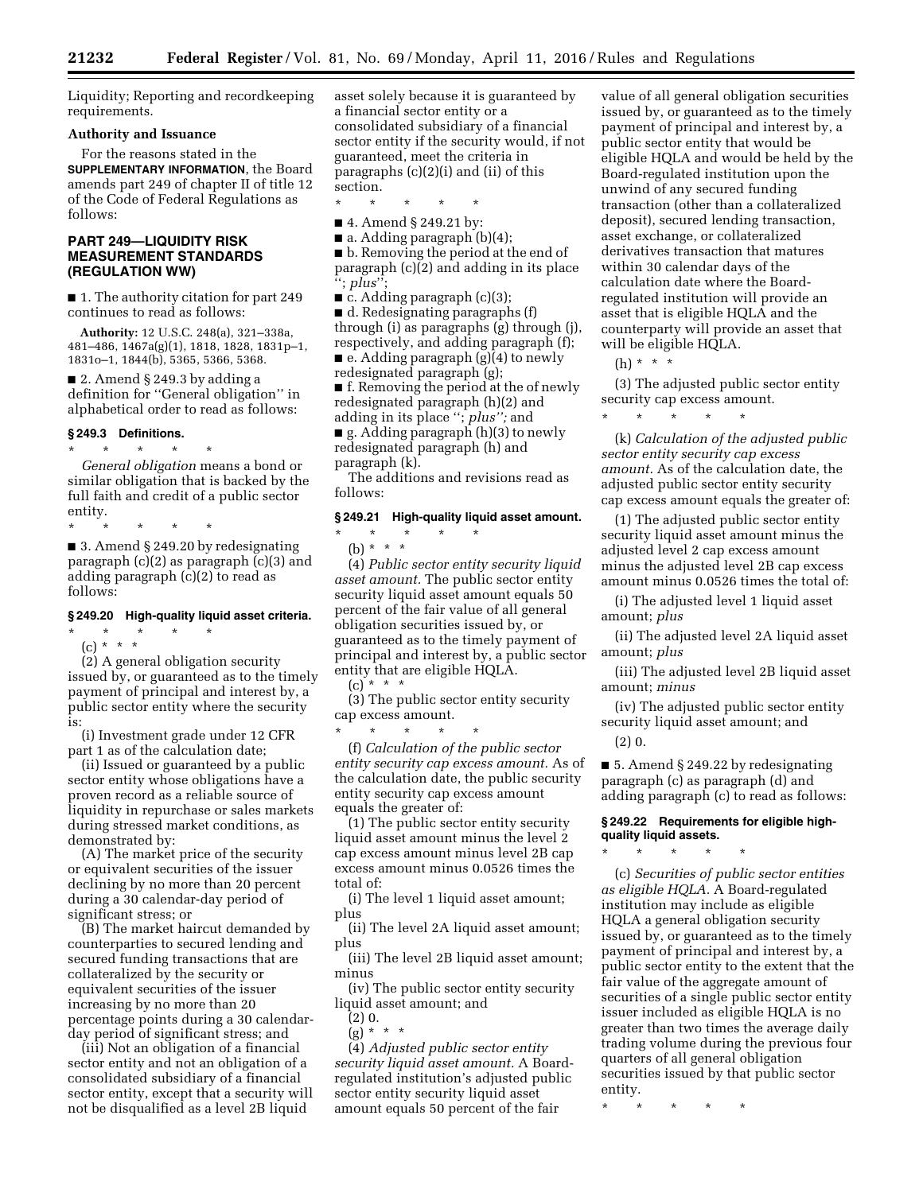Liquidity; Reporting and recordkeeping requirements.

## **Authority and Issuance**

For the reasons stated in the

**SUPPLEMENTARY INFORMATION**, the Board amends part 249 of chapter II of title 12 of the Code of Federal Regulations as follows:

## **PART 249—LIQUIDITY RISK MEASUREMENT STANDARDS (REGULATION WW)**

■ 1. The authority citation for part 249 continues to read as follows:

**Authority:** 12 U.S.C. 248(a), 321–338a, 481–486, 1467a(g)(1), 1818, 1828, 1831p–1, 1831o–1, 1844(b), 5365, 5366, 5368.

■ 2. Amend § 249.3 by adding a definition for ''General obligation'' in alphabetical order to read as follows:

## **§ 249.3 Definitions.**

\* \* \* \* \* *General obligation* means a bond or similar obligation that is backed by the full faith and credit of a public sector entity.

\* \* \* \* \*

■ 3. Amend § 249.20 by redesignating paragraph (c)(2) as paragraph (c)(3) and adding paragraph (c)(2) to read as follows:

#### **§ 249.20 High-quality liquid asset criteria.**

\* \* \* \* \*

(c) \* \* \* (2) A general obligation security issued by, or guaranteed as to the timely payment of principal and interest by, a public sector entity where the security is:

(i) Investment grade under 12 CFR part 1 as of the calculation date;

(ii) Issued or guaranteed by a public sector entity whose obligations have a proven record as a reliable source of liquidity in repurchase or sales markets during stressed market conditions, as demonstrated by:

(A) The market price of the security or equivalent securities of the issuer declining by no more than 20 percent during a 30 calendar-day period of significant stress; or

(B) The market haircut demanded by counterparties to secured lending and secured funding transactions that are collateralized by the security or equivalent securities of the issuer increasing by no more than 20 percentage points during a 30 calendarday period of significant stress; and

(iii) Not an obligation of a financial sector entity and not an obligation of a consolidated subsidiary of a financial sector entity, except that a security will not be disqualified as a level 2B liquid

asset solely because it is guaranteed by a financial sector entity or a consolidated subsidiary of a financial sector entity if the security would, if not guaranteed, meet the criteria in paragraphs (c)(2)(i) and (ii) of this section.

\* \* \* \* \*

■ 4. Amend § 249.21 by:

 $\blacksquare$  a. Adding paragraph (b)(4);

■ b. Removing the period at the end of paragraph (c)(2) and adding in its place ''; *plus*'';

 $\blacksquare$  c. Adding paragraph (c)(3);

■ d. Redesignating paragraphs (f) through (i) as paragraphs (g) through (j), respectively, and adding paragraph (f);

■ e. Adding paragraph (g)(4) to newly redesignated paragraph (g);

■ f. Removing the period at the of newly redesignated paragraph (h)(2) and adding in its place ''; *plus'';* and

 $\blacksquare$  g. Adding paragraph (h)(3) to newly redesignated paragraph (h) and paragraph (k).

The additions and revisions read as follows:

## **§ 249.21 High-quality liquid asset amount.**

\* \* \* \* \* (b) \* \* \*

(4) *Public sector entity security liquid asset amount.* The public sector entity security liquid asset amount equals 50 percent of the fair value of all general obligation securities issued by, or guaranteed as to the timely payment of principal and interest by, a public sector entity that are eligible HQLA.

 $(c)$  \* \* \*

(3) The public sector entity security cap excess amount.

\* \* \* \* \* (f) *Calculation of the public sector entity security cap excess amount.* As of the calculation date, the public security entity security cap excess amount equals the greater of:

(1) The public sector entity security liquid asset amount minus the level 2 cap excess amount minus level 2B cap excess amount minus 0.0526 times the total of:

(i) The level 1 liquid asset amount; plus

(ii) The level 2A liquid asset amount; plus

(iii) The level 2B liquid asset amount; minus

(iv) The public sector entity security liquid asset amount; and

(2) 0.

 $(g) * * * *$ 

(4) *Adjusted public sector entity security liquid asset amount.* A Boardregulated institution's adjusted public sector entity security liquid asset amount equals 50 percent of the fair

value of all general obligation securities issued by, or guaranteed as to the timely payment of principal and interest by, a public sector entity that would be eligible HQLA and would be held by the Board-regulated institution upon the unwind of any secured funding transaction (other than a collateralized deposit), secured lending transaction, asset exchange, or collateralized derivatives transaction that matures within 30 calendar days of the calculation date where the Boardregulated institution will provide an asset that is eligible HQLA and the counterparty will provide an asset that will be eligible HQLA.

(h) \* \* \*

(3) The adjusted public sector entity security cap excess amount.

\* \* \* \* \*

(k) *Calculation of the adjusted public sector entity security cap excess amount.* As of the calculation date, the adjusted public sector entity security cap excess amount equals the greater of:

(1) The adjusted public sector entity security liquid asset amount minus the adjusted level 2 cap excess amount minus the adjusted level 2B cap excess amount minus 0.0526 times the total of:

(i) The adjusted level 1 liquid asset amount; *plus* 

(ii) The adjusted level 2A liquid asset amount; *plus* 

(iii) The adjusted level 2B liquid asset amount; *minus* 

(iv) The adjusted public sector entity security liquid asset amount; and

(2) 0.

■ 5. Amend § 249.22 by redesignating paragraph (c) as paragraph (d) and adding paragraph (c) to read as follows:

## **§ 249.22 Requirements for eligible highquality liquid assets.**

\* \* \* \* \*

(c) *Securities of public sector entities as eligible HQLA.* A Board-regulated institution may include as eligible HQLA a general obligation security issued by, or guaranteed as to the timely payment of principal and interest by, a public sector entity to the extent that the fair value of the aggregate amount of securities of a single public sector entity issuer included as eligible HQLA is no greater than two times the average daily trading volume during the previous four quarters of all general obligation securities issued by that public sector entity.

\* \* \* \* \*